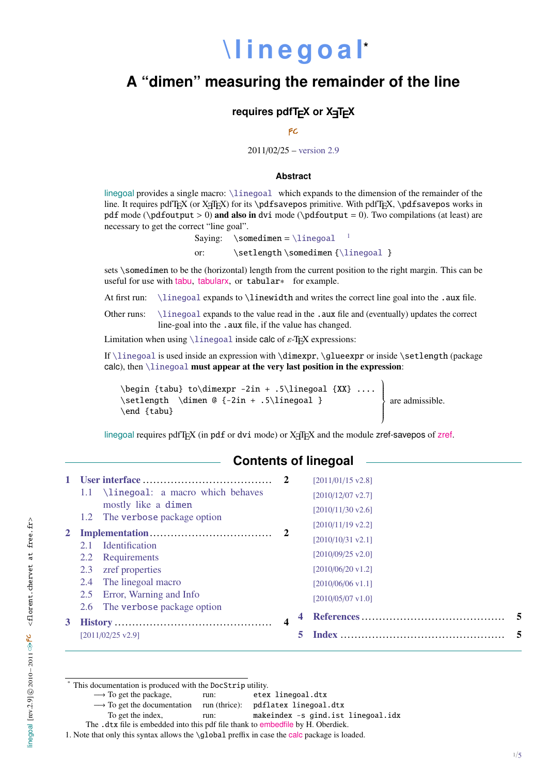# **[\ l i n e g o a l](http://www.tex.ac.uk/tex-archive/help/Catalogue/entries/linegoal.html)\***

## **A "dimen" measuring the remainder of the line**

#### **requires pdfT<sub>E</sub>X or X<sub>T</sub>T<sub>E</sub>X</sub>**

FC

#### 2011/02/25 – [version 2.9](#page-3-0)

#### **Abstract**

linegoal provides a single macro: [\linegoal](#page-1-0) which expands to the dimension of the remainder of the line. It requires pdfTEX (or X<sub>T</sub>TEX) for its \pdfsavepos primitive. With pdfTEX, \pdfsavepos works in pdf mode ( $\alpha$ ) and also in dvi mode ( $\alpha$ = 0). Two compilations (at least) are necessary to get the correct "line goal".

Saying:  $\square$  \somedimen = [\linegoal](#page-1-0)

or: \setlength \somedimen [{\linegoal](#page-1-0) }

sets \somedimen to be the (horizontal) length from the current position to the right margin. This can be useful for use with [tabu](http://www.ctan.org/tex-archive//help/Catalogue/entries/tabu.html), [tabularx](http://www.ctan.org/tex-archive//help/Catalogue/entries/tabularx.html), or tabular∗ for example.

At first run: [\linegoal](#page-1-0) expands to \linewidth and writes the correct line goal into the .aux file.

Other runs: [\linegoal](#page-1-0) expands to the value read in the .aux file and (eventually) updates the correct line-goal into the . aux file, if the value has changed.

Limitation when using  $\langle$ linegoal inside calc of  $\varepsilon$ -T<sub>E</sub>X expressions:

If [\linegoal](#page-1-0) is used inside an expression with \dimexpr, \glueexpr or inside \setlength (package calc), then [\linegoal](#page-1-0) must appear at the very last position in the expression:

```
\begin{align} \tag{XX} \begin{bmatrix} 1 & 0 \\ 0 & 0 \end{bmatrix} to dimexpr -2in + .5\linegoal {XX} ...
\setlength \dimen @ {-2in + .5\linegoal }
\end {tabu}
```
|<br>| are admissible.

 $\lambda$ 

 $\begin{array}{c} \hline \end{array}$ 

linegoal requires pdfT $EX$  (in pdf or dvi mode) or  $X \neq TEX$  and the module [zref](http://www.ctan.org/tex-archive//help/Catalogue/entries/zref.html)-savepos of zref.

#### **Contents of linegoal**

|   | $1.1$ \linegoal: a macro which behaves<br>mostly like a dimen |   | $[2011/01/15 \text{ v}2.8]$<br>[2010/12/07 v2.7]<br>[2010/11/30 v2.6] |   |
|---|---------------------------------------------------------------|---|-----------------------------------------------------------------------|---|
|   | 1.2 The verbose package option                                |   | [2010/11/19 v2.2]                                                     |   |
|   | <b>Identification</b><br>2.1                                  |   | [2010/10/31 v2.1]                                                     |   |
|   | Requirements<br>2.2                                           |   | $[2010/09/25 \text{ v}2.0]$                                           |   |
|   | zref properties<br>2.3                                        |   | [2010/06/20 v1.2]                                                     |   |
|   | The linegoal macro<br>2.4                                     |   | [2010/06/06 v1.1]                                                     |   |
|   | Error, Warning and Info<br>2.5                                |   | [2010/05/07 v1.0]                                                     |   |
|   | The verbose package option<br>2.6                             |   |                                                                       | 5 |
| 3 | [2011/02/25 v2.9]                                             | 4 |                                                                       |   |
|   |                                                               |   |                                                                       |   |

- → To get the documentation run (thrice): pdflatex linegoal.dtx
- To get the index. Tun: makeindex -s gind.ist linegoal.idx
- The .dtx file is embedded into this pdf file thank to [embedfile](http://www.ctan.org/tex-archive//help/Catalogue/entries/embedfile.html) by H. Oberdiek.

<span id="page-0-0"></span>1. Note that only this syntax allows the \global preffix in case the [calc](http://www.ctan.org/tex-archive//help/Catalogue/entries/calc.html) package is loaded.

<sup>\*</sup> This documentation is produced with the DocStrip utility.

<sup>→</sup> To get the package, run: etex linegoal.dtx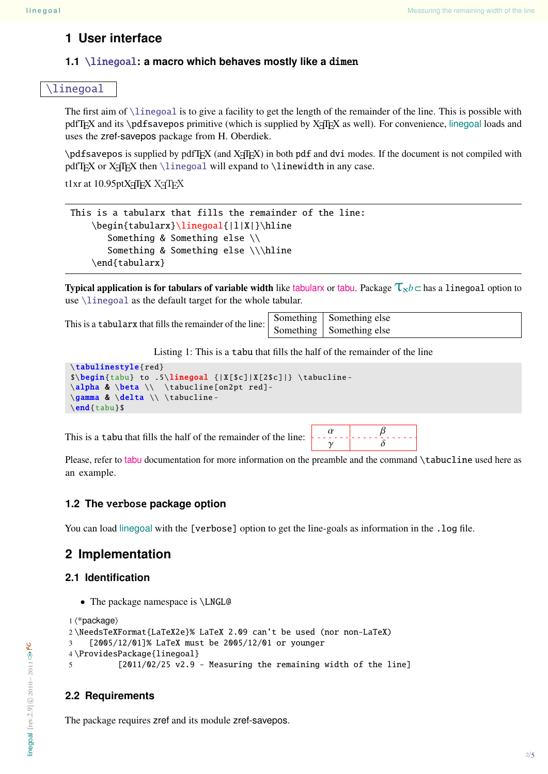## <span id="page-1-1"></span>**1 User interface**

#### <span id="page-1-2"></span>**1.1** [\linegoal](#page-1-0)**: a macro which behaves mostly like a** dimen

#### <span id="page-1-7"></span><span id="page-1-0"></span>[\linegoal](#page-1-0)

The first aim of [\linegoal](#page-1-0) is to give a facility to get the length of the remainder of the line. This is possible with pdfT<sub>EX</sub> and its \pdfsavepos primitive (which is supplied by  $X \nI F X$  as well). For convenience, linegoal loads and uses the zref-savepos package from H. Oberdiek.

 $\partial$  \pdfsavepos is supplied by pdfTEX (and X $\partial$ TEX) in both pdf and dvi modes. If the document is not compiled with pdfT<sub>E</sub>X or X<sub>7</sub>T<sub>E</sub>X then [\linegoal](#page-1-0) will expand to \linewidth in any case.

t1xr at 10.95ptXनFEX XनTEX

```
This is a tabularx that fills the remainder of the line:
    \begin{tabularx}\linegoal{|l|X|}\hline
       Something & Something else \\
       Something & Something else \\\hline
    \end{tabularx}
```
Typical application is for tabulars of variable width like [tabularx](http://www.tex.ac.uk/tex-archive/help/Catalogue/entries/tabularx.html) or [tabu](http://www.tex.ac.uk/tex-archive/help/Catalogue/entries/tabu.html). Package  $\tau_{\kappa b}$   $\subset$  has a linegoal option to use [\linegoal](#page-1-0) as the default target for the whole tabular.

This is a tabularx that fills the remainder of the line:  $\begin{array}{|l|c|c|c|}\hline \text{Something} & \text{Something} & \text{Something} \\ \hline \text{Something} & \text{Something} & \text{Something} \end{array}$ 

Something else

Listing 1: This is a tabu that fills the half of the remainder of the line

```
\tabulinestyle{red}
$\begin{tabu} to .5\linegoal {|X[$c]|X[2$c]|} \tabucline -
\alpha & \beta \\ \tabucline [on2pt red]-
\gamma & \delta \\ \tabucline -
\end{tabu}$
```
This is a tabu that fills the half of the remainder of the line:  $\frac{\alpha}{\gamma}$   $\frac{\alpha}{\delta}$ 



Please, refer to [tabu](http://www.tex.ac.uk/tex-archive/help/Catalogue/entries/tabu.html) documentation for more information on the preamble and the command \tabucline used here as an example.

#### <span id="page-1-3"></span>**1.2 The** verbose **package option**

You can load linegoal with the [verbose] option to get the line-goals as information in the . log file.

## <span id="page-1-4"></span>**2 Implementation**

#### <span id="page-1-5"></span>**2.1 Identification**

• The package namespace is \LNGL@

```
1 \langle*package\rangle2 \NeedsTeXFormat{LaTeX2e}% LaTeX 2.09 can't be used (nor non-LaTeX)
3 [2005/12/01]% LaTeX must be 2005/12/01 or younger
4 \ProvidesPackage{linegoal}
5 [2011/02/25 v2.9 - Measuring the remaining width of the line]
```
#### <span id="page-1-6"></span>**2.2 Requirements**

The package requires zref and its module zref-savepos.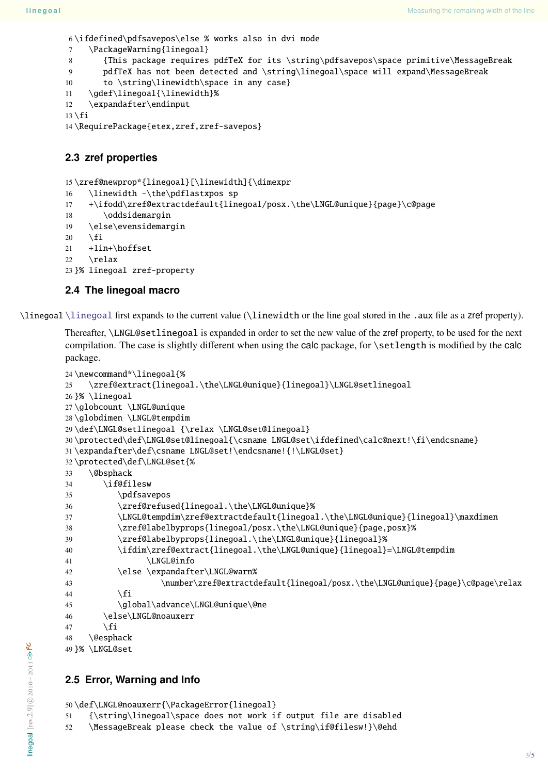<span id="page-2-38"></span>\ifdefined\pdfsavepos\else % works also in dvi mode

- <span id="page-2-37"></span>7 \PackageWarning{linegoal}
- <span id="page-2-39"></span>{This package requires pdfTeX for its \string\pdfsavepos\space primitive\MessageBreak
- <span id="page-2-14"></span>pdfTeX has not been detected and \string\linegoal\space will expand\MessageBreak

```
10 to \string\linewidth\space in any case}
```
- <span id="page-2-15"></span>\gdef\linegoal{\linewidth}%
- \expandafter\endinput

```
13 \setminus fi
```

```
14 \RequirePackage{etex,zref,zref-savepos}
```
#### <span id="page-2-0"></span>**2.3 zref properties**

<span id="page-2-9"></span>\zref@newprop\*{linegoal}[\linewidth]{\dimexpr

- <span id="page-2-19"></span>\linewidth -\the\pdflastxpos sp
- <span id="page-2-6"></span>+\ifodd\zref@extractdefault{linegoal/posx.\the\LNGL@unique}{page}\c@page
- <span id="page-2-36"></span>18 \oddsidemargin

```
19 \else\evensidemargin
```

```
20 \setminus fi
```
<span id="page-2-11"></span> $21 +1$ in+ $\hbar$ offset

```
22 \relax
```
}% linegoal zref-property

#### <span id="page-2-1"></span>**2.4 The linegoal macro**

<span id="page-2-16"></span>\linegoal [\linegoal](#page-1-0) first expands to the current value (\linewidth or the line goal stored in the .aux file as a zref property).

Thereafter, \LNGL@setlinegoal is expanded in order to set the new value of the zref property, to be used for the next compilation. The case is slightly different when using the calc package, for \setlength is modified by the calc package.

```
24 \newcommand*\linegoal{%
25 \zref@extract{linegoal.\the\LNGL@unique}{linegoal}\LNGL@setlinegoal
26 }% \linegoal
27 \globcount \LNGL@unique
28 \globdimen \LNGL@tempdim
29 \def\LNGL@setlinegoal {\relax \LNGL@set@linegoal}
30 \protected\def\LNGL@set@linegoal{\csname LNGL@set\ifdefined\calc@next!\fi\endcsname}
31 \expandafter\def\csname LNGL@set!\endcsname!{!\LNGL@set}
32 \protected\def\LNGL@set{%
33 \@bsphack
34 \if@filesw
35 \pdfsavepos
36 \zref@refused{linegoal.\the\LNGL@unique}%
37 \LNGL@tempdim\zref@extractdefault{linegoal.\the\LNGL@unique}{linegoal}\maxdimen
38 \zref@labelbyprops{linegoal/posx.\the\LNGL@unique}{page,posx}%
39 \zref@labelbyprops{linegoal.\the\LNGL@unique}{linegoal}%
40 \ifdim\zref@extract{linegoal.\the\LNGL@unique}{linegoal}=\LNGL@tempdim
41 \LNGL@info
42 \else \expandafter\LNGL@warn%
43 \number\zref@extractdefault{linegoal/posx.\the\LNGL@unique}{page}\c@page\relax
44 \overline{\phantom{a}} \quad \text{If}45 \global\advance\LNGL@unique\@ne
46 \else\LNGL@noauxerr
47 \setminusfi
48 \@esphack
49 }% \LNGL@set
```
#### <span id="page-2-35"></span><span id="page-2-34"></span><span id="page-2-33"></span><span id="page-2-32"></span><span id="page-2-25"></span><span id="page-2-21"></span><span id="page-2-20"></span><span id="page-2-13"></span><span id="page-2-7"></span><span id="page-2-5"></span><span id="page-2-2"></span>**2.5 Error, Warning and Info**

```
50 \def\LNGL@noauxerr{\PackageError{linegoal}
```
- <span id="page-2-17"></span>{\string\linegoal\space does not work if output file are disabled
- <span id="page-2-4"></span>\MessageBreak please check the value of \string\if@filesw!}\@ehd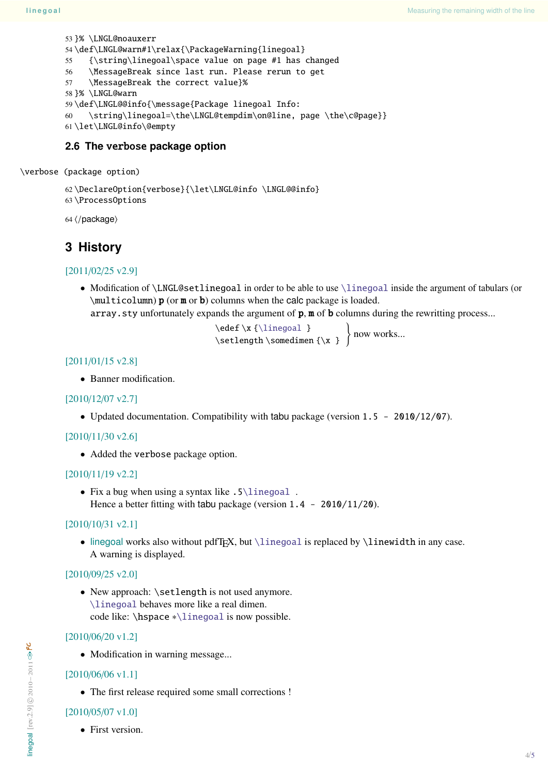```
53 }% \LNGL@noauxerr
54 \def\LNGL@warn#1\relax{\PackageWarning{linegoal}
55 {\string\linegoal\space value on page #1 has changed
56 \MessageBreak since last run. Please rerun to get
57 \MessageBreak the correct value}%
58 }% \LNGL@warn
59 \def\LNGL@@info{\message{Package linegoal Info:
60 \string\linegoal=\the\LNGL@tempdim\on@line, page \the\c@page}}
61 \let\LNGL@info\@empty
```
#### <span id="page-3-9"></span><span id="page-3-6"></span><span id="page-3-5"></span><span id="page-3-2"></span><span id="page-3-1"></span>**2.6 The** verbose **package option**

<span id="page-3-11"></span>\verbose (package option)

```
62 \DeclareOption{verbose}{\let\LNGL@info \LNGL@@info}
63 \ProcessOptions
```
 $64$   $\langle$  /package $\rangle$ 

## <span id="page-3-0"></span>**3 History**

#### [2011/02/25 v2.9]

• Modification of \LNGL@setlinegoal in order to be able to use [\linegoal](#page-1-0) inside the argument of tabulars (or \multicolumn) p (or m or b) columns when the calc package is loaded.

```
array.sty unfortunately expands the argument of p, m of b columns during the rewritting process...
```

```
\edef \x {\linegoal }
\setlength \somedimen {\x }
                             now works...
```
#### [2011/01/15 v2.8]

• Banner modification.

#### [2010/12/07 v2.7]

• Updated documentation. Compatibility with tabu package (version 1.5 - 2010/12/07).

#### [2010/11/30 v2.6]

• Added the verbose package option.

#### [2010/11/19 v2.2]

• Fix a bug when using a syntax like  $.5\backslash1$  inegoal. Hence a better fitting with tabu package (version  $1.4 - 2010/11/20$ ).

#### [2010/10/31 v2.1]

• linegoal works also without pdfT<sub>E</sub>X, but  $\line \left( \frac{\text{log}(a)}{\text{log}(a)} \right)$  is replaced by  $\line \left( \frac{\text{log}(a)}{\text{log}(a)} \right)$ A warning is displayed.

#### [2010/09/25 v2.0]

• New approach: \setlength is not used anymore. [\linegoal](#page-1-0) behaves more like a real dimen. code like: \hspace ∗[\linegoal](#page-1-0) is now possible.

#### [2010/06/20 v1.2]

• Modification in warning message...

#### [2010/06/06 v1.1]

• The first release required some small corrections !

#### [2010/05/07 v1.0]

• First version.